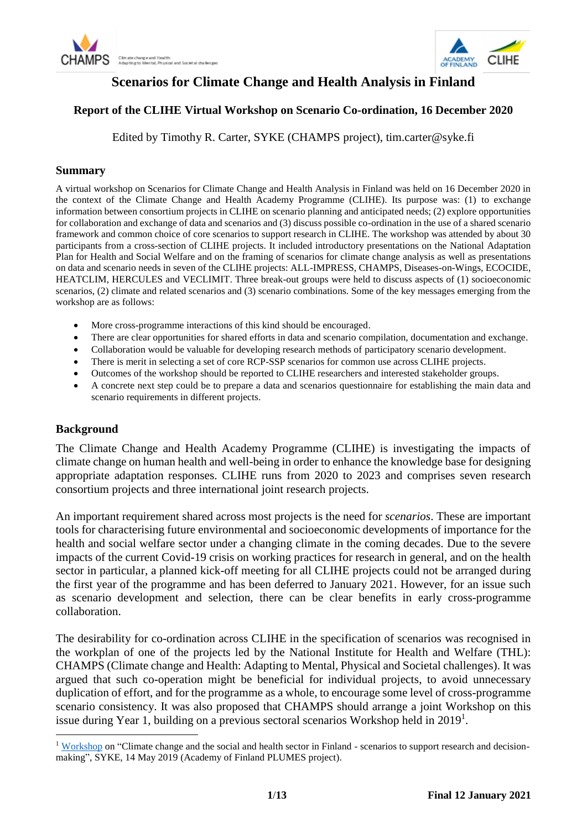



## **Scenarios for Climate Change and Health Analysis in Finland**

## **Report of the CLIHE Virtual Workshop on Scenario Co-ordination, 16 December 2020**

Edited by Timothy R. Carter, SYKE (CHAMPS project), tim.carter@syke.fi

#### **Summary**

A virtual workshop on Scenarios for Climate Change and Health Analysis in Finland was held on 16 December 2020 in the context of the Climate Change and Health Academy Programme (CLIHE). Its purpose was: (1) to exchange information between consortium projects in CLIHE on scenario planning and anticipated needs; (2) explore opportunities for collaboration and exchange of data and scenarios and (3) discuss possible co-ordination in the use of a shared scenario framework and common choice of core scenarios to support research in CLIHE. The workshop was attended by about 30 participants from a cross-section of CLIHE projects. It included introductory presentations on the National Adaptation Plan for Health and Social Welfare and on the framing of scenarios for climate change analysis as well as presentations on data and scenario needs in seven of the CLIHE projects: ALL-IMPRESS, CHAMPS, Diseases-on-Wings, ECOCIDE, HEATCLIM, HERCULES and VECLIMIT. Three break-out groups were held to discuss aspects of (1) socioeconomic scenarios, (2) climate and related scenarios and (3) scenario combinations. Some of the key messages emerging from the workshop are as follows:

- More cross-programme interactions of this kind should be encouraged.
- There are clear opportunities for shared efforts in data and scenario compilation, documentation and exchange.
- Collaboration would be valuable for developing research methods of participatory scenario development.
- There is merit in selecting a set of core RCP-SSP scenarios for common use across CLIHE projects.
- Outcomes of the workshop should be reported to CLIHE researchers and interested stakeholder groups.
- A concrete next step could be to prepare a data and scenarios questionnaire for establishing the main data and scenario requirements in different projects.

#### **Background**

1

The Climate Change and Health Academy Programme (CLIHE) is investigating the impacts of climate change on human health and well-being in order to enhance the knowledge base for designing appropriate adaptation responses. CLIHE runs from 2020 to 2023 and comprises seven research consortium projects and three international joint research projects.

An important requirement shared across most projects is the need for *scenarios*. These are important tools for characterising future environmental and socioeconomic developments of importance for the health and social welfare sector under a changing climate in the coming decades. Due to the severe impacts of the current Covid-19 crisis on working practices for research in general, and on the health sector in particular, a planned kick-off meeting for all CLIHE projects could not be arranged during the first year of the programme and has been deferred to January 2021. However, for an issue such as scenario development and selection, there can be clear benefits in early cross-programme collaboration.

The desirability for co-ordination across CLIHE in the specification of scenarios was recognised in the workplan of one of the projects led by the National Institute for Health and Welfare (THL): CHAMPS (Climate change and Health: Adapting to Mental, Physical and Societal challenges). It was argued that such co-operation might be beneficial for individual projects, to avoid unnecessary duplication of effort, and for the programme as a whole, to encourage some level of cross-programme scenario consistency. It was also proposed that CHAMPS should arrange a joint Workshop on this issue during Year 1, building on a previous sectoral scenarios Workshop held in 2019<sup>1</sup>.

<sup>&</sup>lt;sup>1</sup> [Workshop](https://drive.google.com/drive/folders/1f_M8PdROq3mOJIa3B26LTJO_adLfPS3b?ths=true) on "Climate change and the social and health sector in Finland - scenarios to support research and decisionmaking", SYKE, 14 May 2019 (Academy of Finland PLUMES project).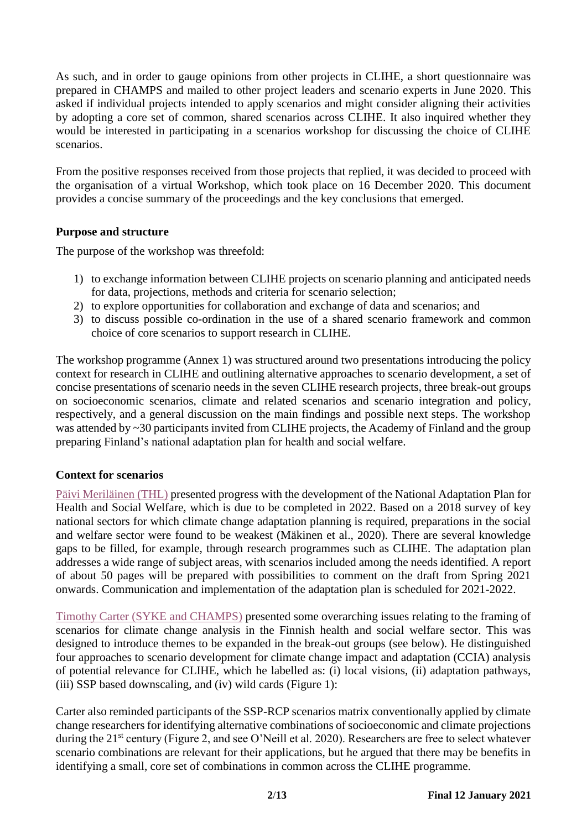As such, and in order to gauge opinions from other projects in CLIHE, a short questionnaire was prepared in CHAMPS and mailed to other project leaders and scenario experts in June 2020. This asked if individual projects intended to apply scenarios and might consider aligning their activities by adopting a core set of common, shared scenarios across CLIHE. It also inquired whether they would be interested in participating in a scenarios workshop for discussing the choice of CLIHE scenarios.

From the positive responses received from those projects that replied, it was decided to proceed with the organisation of a virtual Workshop, which took place on 16 December 2020. This document provides a concise summary of the proceedings and the key conclusions that emerged.

## **Purpose and structure**

The purpose of the workshop was threefold:

- 1) to exchange information between CLIHE projects on scenario planning and anticipated needs for data, projections, methods and criteria for scenario selection;
- 2) to explore opportunities for collaboration and exchange of data and scenarios; and
- 3) to discuss possible co-ordination in the use of a shared scenario framework and common choice of core scenarios to support research in CLIHE.

The workshop programme (Annex 1) was structured around two presentations introducing the policy context for research in CLIHE and outlining alternative approaches to scenario development, a set of concise presentations of scenario needs in the seven CLIHE research projects, three break-out groups on socioeconomic scenarios, climate and related scenarios and scenario integration and policy, respectively, and a general discussion on the main findings and possible next steps. The workshop was attended by ~30 participants invited from CLIHE projects, the Academy of Finland and the group preparing Finland's national adaptation plan for health and social welfare.

## **Context for scenarios**

[Päivi Meriläinen \(THL\)](https://drive.google.com/file/d/1XOZ5I7lnp7X67J7_kQ_jnj1fztbpG79F/view?usp=sharing) presented progress with the development of the National Adaptation Plan for Health and Social Welfare, which is due to be completed in 2022. Based on a 2018 survey of key national sectors for which climate change adaptation planning is required, preparations in the social and welfare sector were found to be weakest (Mäkinen et al., 2020). There are several knowledge gaps to be filled, for example, through research programmes such as CLIHE. The adaptation plan addresses a wide range of subject areas, with scenarios included among the needs identified. A report of about 50 pages will be prepared with possibilities to comment on the draft from Spring 2021 onwards. Communication and implementation of the adaptation plan is scheduled for 2021-2022.

Timothy [Carter \(SYKE and CHAMPS\)](https://drive.google.com/file/d/1-GrGafdmQEode5s5LZAaEN2xGPA8cFF8/view?usp=sharing) presented some overarching issues relating to the framing of scenarios for climate change analysis in the Finnish health and social welfare sector. This was designed to introduce themes to be expanded in the break-out groups (see below). He distinguished four approaches to scenario development for climate change impact and adaptation (CCIA) analysis of potential relevance for CLIHE, which he labelled as: (i) local visions, (ii) adaptation pathways, (iii) SSP based downscaling, and (iv) wild cards (Figure 1):

Carter also reminded participants of the SSP-RCP scenarios matrix conventionally applied by climate change researchers for identifying alternative combinations of socioeconomic and climate projections during the 21<sup>st</sup> century (Figure 2, and see O'Neill et al. 2020). Researchers are free to select whatever scenario combinations are relevant for their applications, but he argued that there may be benefits in identifying a small, core set of combinations in common across the CLIHE programme.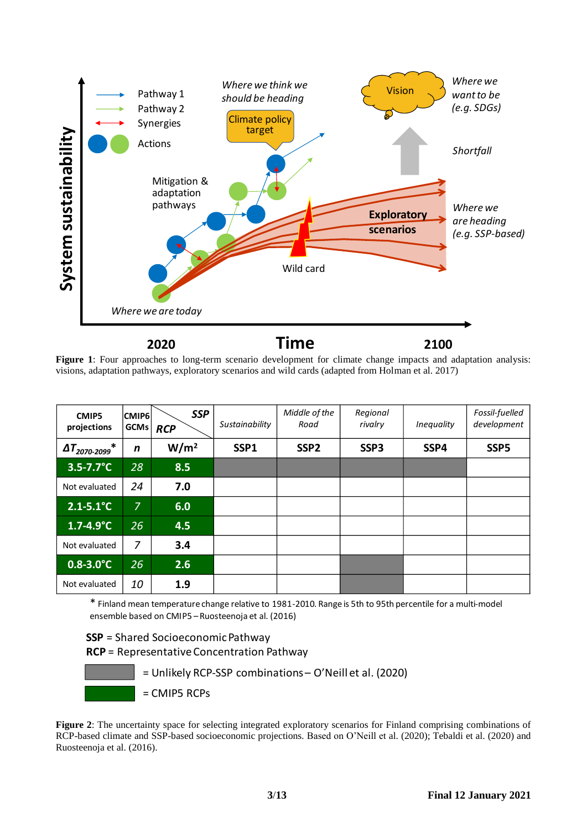

**Figure 1**: Four approaches to long-term scenario development for climate change impacts and adaptation analysis: visions, adaptation pathways, exploratory scenarios and wild cards (adapted from Holman et al. 2017)

| <b>CMIP5</b><br>projections                | <b>CMIP6</b><br><b>GCMs</b> | <b>SSP</b><br><b>RCP</b> | Sustainability | Middle of the<br>Road | Regional<br>rivalry | Inequality | Fossil-fuelled<br>development |
|--------------------------------------------|-----------------------------|--------------------------|----------------|-----------------------|---------------------|------------|-------------------------------|
| $\Delta T_{2070\text{-}2099}^{\quad \  *}$ | $\mathbf n$                 | W/m <sup>2</sup>         | SSP1           | SSP <sub>2</sub>      | SSP3                | SSP4       | SSP <sub>5</sub>              |
| $3.5 - 7.7^{\circ}C$                       | 28                          | 8.5                      |                |                       |                     |            |                               |
| Not evaluated                              | 24                          | 7.0                      |                |                       |                     |            |                               |
| $2.1 - 5.1^{\circ}C$                       | 7                           | 6.0                      |                |                       |                     |            |                               |
| $1.7 - 4.9^{\circ}C$                       | 26                          | 4.5                      |                |                       |                     |            |                               |
| Not evaluated                              | $\overline{7}$              | 3.4                      |                |                       |                     |            |                               |
| $0.8 - 3.0^{\circ}C$                       | 26                          | 2.6                      |                |                       |                     |            |                               |
| Not evaluated                              | 10                          | 1.9                      |                |                       |                     |            |                               |

\* Finland mean temperature change relative to 1981-2010. Range is 5th to 95th percentile for a multi-model ensemble based on CMIP5 –Ruosteenoja et al. (2016)

**SSP** = Shared Socioeconomic Pathway

**RCP** = Representative Concentration Pathway



**Figure 2**: The uncertainty space for selecting integrated exploratory scenarios for Finland comprising combinations of RCP-based climate and SSP-based socioeconomic projections. Based on O'Neill et al. (2020); Tebaldi et al. (2020) and Ruosteenoja et al. (2016).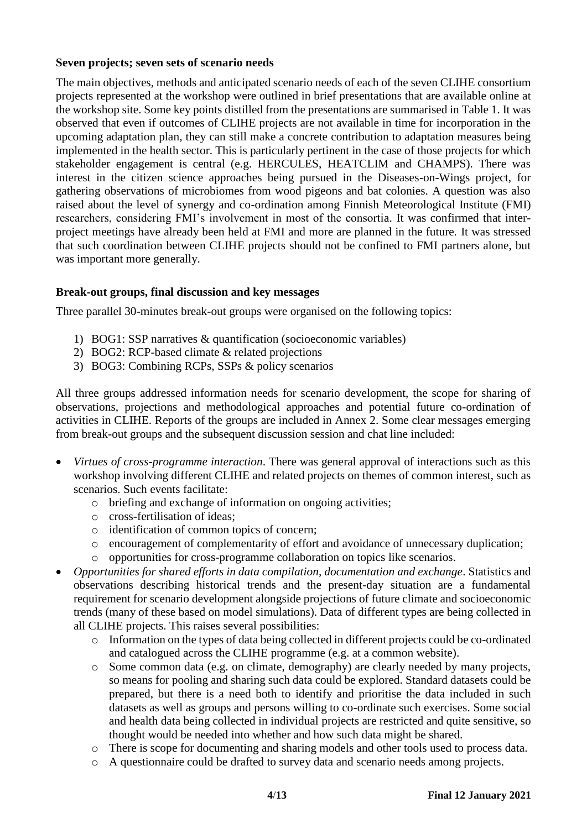#### **Seven projects; seven sets of scenario needs**

The main objectives, methods and anticipated scenario needs of each of the seven CLIHE consortium projects represented at the workshop were outlined in brief presentations that are available online at the workshop site. Some key points distilled from the presentations are summarised in Table 1. It was observed that even if outcomes of CLIHE projects are not available in time for incorporation in the upcoming adaptation plan, they can still make a concrete contribution to adaptation measures being implemented in the health sector. This is particularly pertinent in the case of those projects for which stakeholder engagement is central (e.g. HERCULES, HEATCLIM and CHAMPS). There was interest in the citizen science approaches being pursued in the Diseases-on-Wings project, for gathering observations of microbiomes from wood pigeons and bat colonies. A question was also raised about the level of synergy and co-ordination among Finnish Meteorological Institute (FMI) researchers, considering FMI's involvement in most of the consortia. It was confirmed that interproject meetings have already been held at FMI and more are planned in the future. It was stressed that such coordination between CLIHE projects should not be confined to FMI partners alone, but was important more generally.

#### **Break-out groups, final discussion and key messages**

Three parallel 30-minutes break-out groups were organised on the following topics:

- 1) BOG1: SSP narratives & quantification (socioeconomic variables)
- 2) BOG2: RCP-based climate & related projections
- 3) BOG3: Combining RCPs, SSPs & policy scenarios

All three groups addressed information needs for scenario development, the scope for sharing of observations, projections and methodological approaches and potential future co-ordination of activities in CLIHE. Reports of the groups are included in Annex 2. Some clear messages emerging from break-out groups and the subsequent discussion session and chat line included:

- *Virtues of cross-programme interaction*. There was general approval of interactions such as this workshop involving different CLIHE and related projects on themes of common interest, such as scenarios. Such events facilitate:
	- o briefing and exchange of information on ongoing activities;
	- o cross-fertilisation of ideas;
	- o identification of common topics of concern;
	- o encouragement of complementarity of effort and avoidance of unnecessary duplication;
	- o opportunities for cross-programme collaboration on topics like scenarios.
- *Opportunities for shared efforts in data compilation, documentation and exchange*. Statistics and observations describing historical trends and the present-day situation are a fundamental requirement for scenario development alongside projections of future climate and socioeconomic trends (many of these based on model simulations). Data of different types are being collected in all CLIHE projects. This raises several possibilities:
	- o Information on the types of data being collected in different projects could be co-ordinated and catalogued across the CLIHE programme (e.g. at a common website).
	- o Some common data (e.g. on climate, demography) are clearly needed by many projects, so means for pooling and sharing such data could be explored. Standard datasets could be prepared, but there is a need both to identify and prioritise the data included in such datasets as well as groups and persons willing to co-ordinate such exercises. Some social and health data being collected in individual projects are restricted and quite sensitive, so thought would be needed into whether and how such data might be shared.
	- o There is scope for documenting and sharing models and other tools used to process data.
	- o A questionnaire could be drafted to survey data and scenario needs among projects.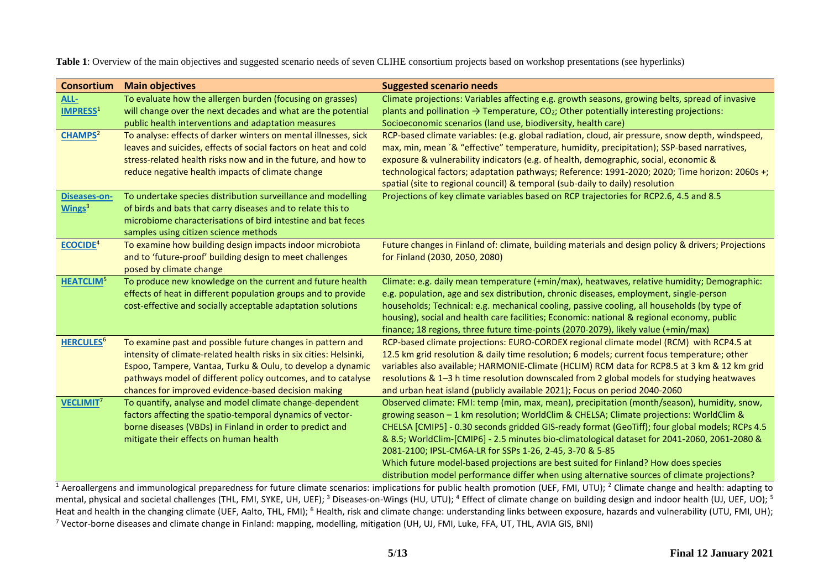**Table 1**: Overview of the main objectives and suggested scenario needs of seven CLIHE consortium projects based on workshop presentations (see hyperlinks)

| <b>Consortium</b>                | <b>Main objectives</b>                                                                                                                                                                                                                                                                                                | <b>Suggested scenario needs</b>                                                                                                                                                                                                                                                                                                                                                                                                                                                                                                                                                                                                           |
|----------------------------------|-----------------------------------------------------------------------------------------------------------------------------------------------------------------------------------------------------------------------------------------------------------------------------------------------------------------------|-------------------------------------------------------------------------------------------------------------------------------------------------------------------------------------------------------------------------------------------------------------------------------------------------------------------------------------------------------------------------------------------------------------------------------------------------------------------------------------------------------------------------------------------------------------------------------------------------------------------------------------------|
| ALL-<br><b>IMPRESS1</b>          | To evaluate how the allergen burden (focusing on grasses)<br>will change over the next decades and what are the potential<br>public health interventions and adaptation measures                                                                                                                                      | Climate projections: Variables affecting e.g. growth seasons, growing belts, spread of invasive<br>plants and pollination $\rightarrow$ Temperature, CO <sub>2</sub> ; Other potentially interesting projections:<br>Socioeconomic scenarios (land use, biodiversity, health care)                                                                                                                                                                                                                                                                                                                                                        |
| CHAMPS <sup>2</sup>              | To analyse: effects of darker winters on mental illnesses, sick<br>leaves and suicides, effects of social factors on heat and cold<br>stress-related health risks now and in the future, and how to<br>reduce negative health impacts of climate change                                                               | RCP-based climate variables: (e.g. global radiation, cloud, air pressure, snow depth, windspeed,<br>max, min, mean '& "effective" temperature, humidity, precipitation); SSP-based narratives,<br>exposure & vulnerability indicators (e.g. of health, demographic, social, economic &<br>technological factors; adaptation pathways; Reference: 1991-2020; 2020; Time horizon: 2060s +;<br>spatial (site to regional council) & temporal (sub-daily to daily) resolution                                                                                                                                                                 |
| <b>Diseases-on-</b><br>Wings $3$ | To undertake species distribution surveillance and modelling<br>of birds and bats that carry diseases and to relate this to<br>microbiome characterisations of bird intestine and bat feces<br>samples using citizen science methods                                                                                  | Projections of key climate variables based on RCP trajectories for RCP2.6, 4.5 and 8.5                                                                                                                                                                                                                                                                                                                                                                                                                                                                                                                                                    |
| ECOCIDE <sup>4</sup>             | To examine how building design impacts indoor microbiota<br>and to 'future-proof' building design to meet challenges<br>posed by climate change                                                                                                                                                                       | Future changes in Finland of: climate, building materials and design policy & drivers; Projections<br>for Finland (2030, 2050, 2080)                                                                                                                                                                                                                                                                                                                                                                                                                                                                                                      |
| <b>HEATCLIM<sup>5</sup></b>      | To produce new knowledge on the current and future health<br>effects of heat in different population groups and to provide<br>cost-effective and socially acceptable adaptation solutions                                                                                                                             | Climate: e.g. daily mean temperature (+min/max), heatwaves, relative humidity; Demographic:<br>e.g. population, age and sex distribution, chronic diseases, employment, single-person<br>households; Technical: e.g. mechanical cooling, passive cooling, all households (by type of<br>housing), social and health care facilities; Economic: national & regional economy, public<br>finance; 18 regions, three future time-points (2070-2079), likely value (+min/max)                                                                                                                                                                  |
| <b>HERCULES<sup>6</sup></b>      | To examine past and possible future changes in pattern and<br>intensity of climate-related health risks in six cities: Helsinki,<br>Espoo, Tampere, Vantaa, Turku & Oulu, to develop a dynamic<br>pathways model of different policy outcomes, and to catalyse<br>chances for improved evidence-based decision making | RCP-based climate projections: EURO-CORDEX regional climate model (RCM) with RCP4.5 at<br>12.5 km grid resolution & daily time resolution; 6 models; current focus temperature; other<br>variables also available; HARMONIE-Climate (HCLIM) RCM data for RCP8.5 at 3 km & 12 km grid<br>resolutions & 1-3 h time resolution downscaled from 2 global models for studying heatwaves<br>and urban heat island (publicly available 2021); Focus on period 2040-2060                                                                                                                                                                          |
| <b>VECLIMIT'</b>                 | To quantify, analyse and model climate change-dependent<br>factors affecting the spatio-temporal dynamics of vector-<br>borne diseases (VBDs) in Finland in order to predict and<br>mitigate their effects on human health                                                                                            | Observed climate: FMI: temp (min, max, mean), precipitation (month/season), humidity, snow,<br>growing season - 1 km resolution; WorldClim & CHELSA; Climate projections: WorldClim &<br>CHELSA [CMIP5] - 0.30 seconds gridded GIS-ready format (GeoTiff); four global models; RCPs 4.5<br>& 8.5; WorldClim-[CMIP6] - 2.5 minutes bio-climatological dataset for 2041-2060, 2061-2080 &<br>2081-2100; IPSL-CM6A-LR for SSPs 1-26, 2-45, 3-70 & 5-85<br>Which future model-based projections are best suited for Finland? How does species<br>distribution model performance differ when using alternative sources of climate projections? |

<sup>1</sup> Aeroallergens and immunological preparedness for future climate scenarios: implications for public health promotion (UEF, FMI, UTU); <sup>2</sup> Climate change and health: adapting to mental, physical and societal challenges (THL, FMI, SYKE, UH, UEF);<sup>3</sup> Diseases-on-Wings (HU, UTU);<sup>4</sup> Effect of climate change on building design and indoor health (UJ, UEF, UO);<sup>5</sup> Heat and health in the changing climate (UEF, Aalto, THL, FMI); <sup>6</sup> Health, risk and climate change: understanding links between exposure, hazards and vulnerability (UTU, FMI, UH); <sup>7</sup> Vector-borne diseases and climate change in Finland: mapping, modelling, mitigation (UH, UJ, FMI, Luke, FFA, UT, THL, AVIA GIS, BNI)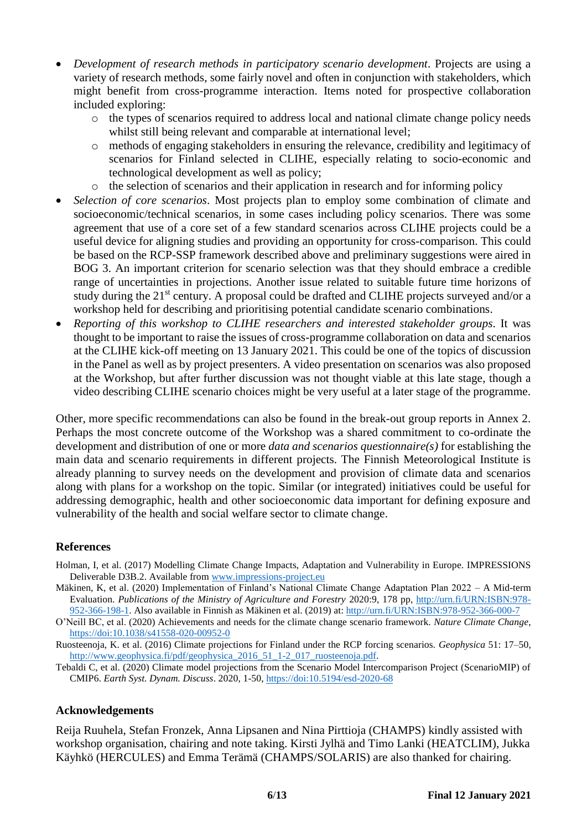- *Development of research methods in participatory scenario development*. Projects are using a variety of research methods, some fairly novel and often in conjunction with stakeholders, which might benefit from cross-programme interaction. Items noted for prospective collaboration included exploring:
	- $\circ$  the types of scenarios required to address local and national climate change policy needs whilst still being relevant and comparable at international level;
	- o methods of engaging stakeholders in ensuring the relevance, credibility and legitimacy of scenarios for Finland selected in CLIHE, especially relating to socio-economic and technological development as well as policy;
	- o the selection of scenarios and their application in research and for informing policy
- *Selection of core scenarios*. Most projects plan to employ some combination of climate and socioeconomic/technical scenarios, in some cases including policy scenarios. There was some agreement that use of a core set of a few standard scenarios across CLIHE projects could be a useful device for aligning studies and providing an opportunity for cross-comparison. This could be based on the RCP-SSP framework described above and preliminary suggestions were aired in BOG 3. An important criterion for scenario selection was that they should embrace a credible range of uncertainties in projections. Another issue related to suitable future time horizons of study during the 21<sup>st</sup> century. A proposal could be drafted and CLIHE projects surveyed and/or a workshop held for describing and prioritising potential candidate scenario combinations.
- *Reporting of this workshop to CLIHE researchers and interested stakeholder groups*. It was thought to be important to raise the issues of cross-programme collaboration on data and scenarios at the CLIHE kick-off meeting on 13 January 2021. This could be one of the topics of discussion in the Panel as well as by project presenters. A video presentation on scenarios was also proposed at the Workshop, but after further discussion was not thought viable at this late stage, though a video describing CLIHE scenario choices might be very useful at a later stage of the programme.

Other, more specific recommendations can also be found in the break-out group reports in Annex 2. Perhaps the most concrete outcome of the Workshop was a shared commitment to co-ordinate the development and distribution of one or more *data and scenarios questionnaire(s)* for establishing the main data and scenario requirements in different projects. The Finnish Meteorological Institute is already planning to survey needs on the development and provision of climate data and scenarios along with plans for a workshop on the topic. Similar (or integrated) initiatives could be useful for addressing demographic, health and other socioeconomic data important for defining exposure and vulnerability of the health and social welfare sector to climate change.

#### **References**

- Holman, I, et al. (2017) Modelling Climate Change Impacts, Adaptation and Vulnerability in Europe. IMPRESSIONS Deliverable D3B.2. Available fro[m www.impressions-project.eu](http://www.impressions-project.eu/)
- Mäkinen, K, et al. (2020) Implementation of Finland's National Climate Change Adaptation Plan 2022 A Mid-term Evaluation. *Publications of the Ministry of Agriculture and Forestry* 2020:9, 178 pp, [http://urn.fi/URN:ISBN:978-](http://urn.fi/URN:ISBN:978-952-366-198-1) [952-366-198-1.](http://urn.fi/URN:ISBN:978-952-366-198-1) Also available in Finnish as Mäkinen et al. (2019) at: <http://urn.fi/URN:ISBN:978-952-366-000-7>

O'Neill BC, et al. (2020) Achievements and needs for the climate change scenario framework. *Nature Climate Change*, <https://doi:10.1038/s41558-020-00952-0>

- Ruosteenoja, K. et al. (2016) Climate projections for Finland under the RCP forcing scenarios. *Geophysica* 51: 17–50, [http://www.geophysica.fi/pdf/geophysica\\_2016\\_51\\_1-2\\_017\\_ruosteenoja.pdf.](http://www.geophysica.fi/pdf/geophysica_2016_51_1-2_017_ruosteenoja.pdf)
- Tebaldi C, et al. (2020) Climate model projections from the Scenario Model Intercomparison Project (ScenarioMIP) of CMIP6. *Earth Syst. Dynam. Discuss*. 2020, 1-50,<https://doi:10.5194/esd-2020-68>

#### **Acknowledgements**

Reija Ruuhela, Stefan Fronzek, Anna Lipsanen and Nina Pirttioja (CHAMPS) kindly assisted with workshop organisation, chairing and note taking. Kirsti Jylhä and Timo Lanki (HEATCLIM), Jukka Käyhkö (HERCULES) and Emma Terämä (CHAMPS/SOLARIS) are also thanked for chairing.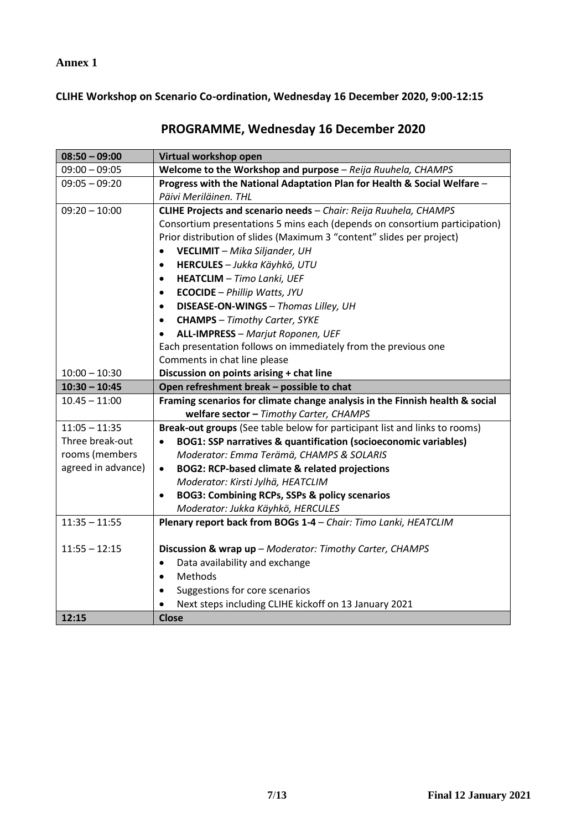**Annex 1**

**CLIHE Workshop on Scenario Co-ordination, Wednesday 16 December 2020, 9:00-12:15**

| $08:50 - 09:00$    | Virtual workshop open                                                        |  |  |  |
|--------------------|------------------------------------------------------------------------------|--|--|--|
| $09:00 - 09:05$    | Welcome to the Workshop and purpose - Reija Ruuhela, CHAMPS                  |  |  |  |
| $09:05 - 09:20$    | Progress with the National Adaptation Plan for Health & Social Welfare -     |  |  |  |
|                    | Päivi Meriläinen. THL                                                        |  |  |  |
| $09:20 - 10:00$    | CLIHE Projects and scenario needs - Chair: Reija Ruuhela, CHAMPS             |  |  |  |
|                    | Consortium presentations 5 mins each (depends on consortium participation)   |  |  |  |
|                    | Prior distribution of slides (Maximum 3 "content" slides per project)        |  |  |  |
|                    | <b>VECLIMIT</b> - Mika Siljander, UH<br>$\bullet$                            |  |  |  |
|                    | HERCULES - Jukka Käyhkö, UTU                                                 |  |  |  |
|                    | <b>HEATCLIM</b> - Timo Lanki, UEF<br>$\bullet$                               |  |  |  |
|                    | <b>ECOCIDE</b> - Phillip Watts, JYU<br>$\bullet$                             |  |  |  |
|                    | DISEASE-ON-WINGS - Thomas Lilley, UH<br>$\bullet$                            |  |  |  |
|                    | <b>CHAMPS</b> - Timothy Carter, SYKE<br>$\bullet$                            |  |  |  |
|                    | <b>ALL-IMPRESS</b> - Marjut Roponen, UEF                                     |  |  |  |
|                    | Each presentation follows on immediately from the previous one               |  |  |  |
|                    | Comments in chat line please                                                 |  |  |  |
| $10:00 - 10:30$    | Discussion on points arising + chat line                                     |  |  |  |
| $10:30 - 10:45$    | Open refreshment break - possible to chat                                    |  |  |  |
| $10.45 - 11:00$    | Framing scenarios for climate change analysis in the Finnish health & social |  |  |  |
|                    | welfare sector - Timothy Carter, CHAMPS                                      |  |  |  |
| $11:05 - 11:35$    | Break-out groups (See table below for participant list and links to rooms)   |  |  |  |
| Three break-out    | BOG1: SSP narratives & quantification (socioeconomic variables)<br>$\bullet$ |  |  |  |
| rooms (members     | Moderator: Emma Terämä, CHAMPS & SOLARIS                                     |  |  |  |
| agreed in advance) | <b>BOG2: RCP-based climate &amp; related projections</b><br>$\bullet$        |  |  |  |
|                    | Moderator: Kirsti Jylhä, HEATCLIM                                            |  |  |  |
|                    | <b>BOG3: Combining RCPs, SSPs &amp; policy scenarios</b><br>$\bullet$        |  |  |  |
|                    | Moderator: Jukka Käyhkö, HERCULES                                            |  |  |  |
| $11:35 - 11:55$    | Plenary report back from BOGs 1-4 - Chair: Timo Lanki, HEATCLIM              |  |  |  |
|                    |                                                                              |  |  |  |
| $11:55 - 12:15$    | Discussion & wrap up - Moderator: Timothy Carter, CHAMPS                     |  |  |  |
|                    | Data availability and exchange<br>$\bullet$                                  |  |  |  |
|                    | Methods<br>$\bullet$                                                         |  |  |  |
|                    | Suggestions for core scenarios<br>$\bullet$                                  |  |  |  |
|                    | Next steps including CLIHE kickoff on 13 January 2021                        |  |  |  |
| 12:15              | <b>Close</b>                                                                 |  |  |  |

# **PROGRAMME, Wednesday 16 December 2020**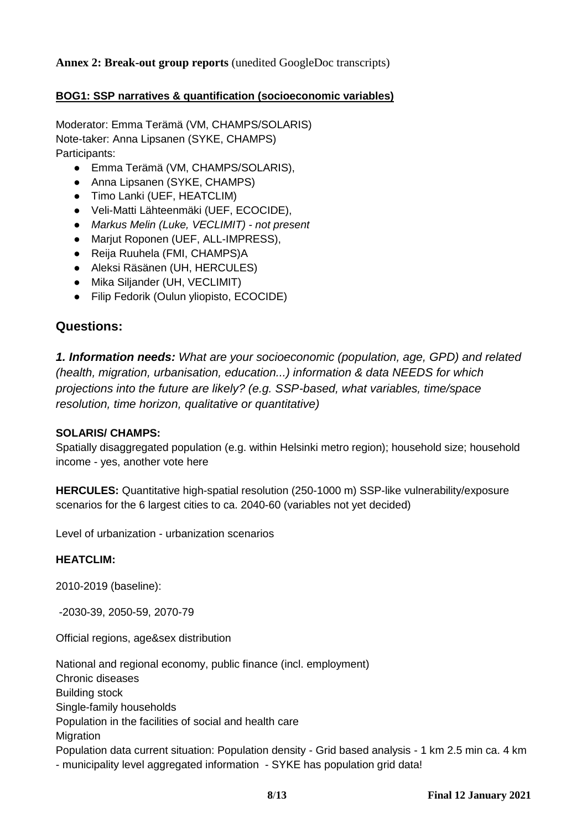**Annex 2: Break-out group reports** (unedited GoogleDoc transcripts)

## **BOG1: SSP narratives & quantification (socioeconomic variables)**

Moderator: Emma Terämä (VM, CHAMPS/SOLARIS) Note-taker: Anna Lipsanen (SYKE, CHAMPS) Participants:

- Emma Terämä (VM, CHAMPS/SOLARIS),
- Anna Lipsanen (SYKE, CHAMPS)
- Timo Lanki (UEF, HEATCLIM)
- Veli-Matti Lähteenmäki (UEF, ECOCIDE),
- *Markus Melin (Luke, VECLIMIT) - not present*
- Marjut Roponen (UEF, ALL-IMPRESS),
- Reija Ruuhela (FMI, CHAMPS)A
- Aleksi Räsänen (UH, HERCULES)
- Mika Siljander (UH, VECLIMIT)
- Filip Fedorik (Oulun yliopisto, ECOCIDE)

## **Questions:**

*1. Information needs: What are your socioeconomic (population, age, GPD) and related (health, migration, urbanisation, education...) information & data NEEDS for which projections into the future are likely? (e.g. SSP-based, what variables, time/space resolution, time horizon, qualitative or quantitative)* 

#### **SOLARIS/ CHAMPS:**

Spatially disaggregated population (e.g. within Helsinki metro region); household size; household income - yes, another vote here

**HERCULES:** Quantitative high-spatial resolution (250-1000 m) SSP-like vulnerability/exposure scenarios for the 6 largest cities to ca. 2040-60 (variables not yet decided)

Level of urbanization - urbanization scenarios

#### **HEATCLIM**

2010-2019 (baseline):

-2030-39, 2050-59, 2070-79

Official regions, age&sex distribution

National and regional economy, public finance (incl. employment) Chronic diseases Building stock Single-family households Population in the facilities of social and health care **Migration** Population data current situation: Population density - Grid based analysis - 1 km 2.5 min ca. 4 km - municipality level aggregated information - SYKE has population grid data!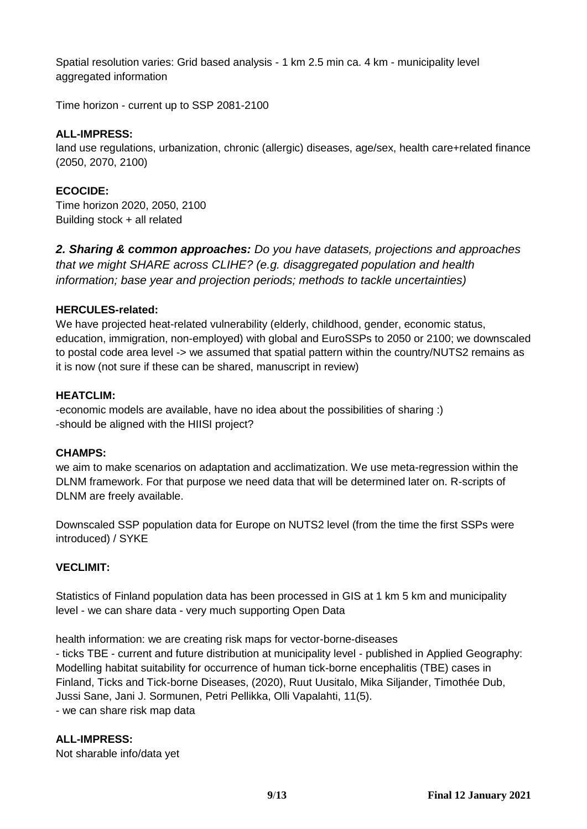Spatial resolution varies: Grid based analysis - 1 km 2.5 min ca. 4 km - municipality level aggregated information

Time horizon - current up to SSP 2081-2100

## **ALL-IMPRESS:**

land use regulations, urbanization, chronic (allergic) diseases, age/sex, health care+related finance (2050, 2070, 2100)

## **ECOCIDE:**

Time horizon 2020, 2050, 2100 Building stock + all related

*2. Sharing & common approaches: Do you have datasets, projections and approaches that we might SHARE across CLIHE? (e.g. disaggregated population and health information; base year and projection periods; methods to tackle uncertainties)* 

#### **HERCULES-related:**

We have projected heat-related vulnerability (elderly, childhood, gender, economic status, education, immigration, non-employed) with global and EuroSSPs to 2050 or 2100; we downscaled to postal code area level -> we assumed that spatial pattern within the country/NUTS2 remains as it is now (not sure if these can be shared, manuscript in review)

#### **HEATCLIM:**

-economic models are available, have no idea about the possibilities of sharing :) -should be aligned with the HIISI project?

#### **CHAMPS:**

we aim to make scenarios on adaptation and acclimatization. We use meta-regression within the DLNM framework. For that purpose we need data that will be determined later on. R-scripts of DLNM are freely available.

Downscaled SSP population data for Europe on NUTS2 level (from the time the first SSPs were introduced) / SYKE

#### **VECLIMIT:**

Statistics of Finland population data has been processed in GIS at 1 km 5 km and municipality level - we can share data - very much supporting Open Data

health information: we are creating risk maps for vector-borne-diseases - ticks TBE - current and future distribution at municipality level - published in Applied Geography: Modelling habitat suitability for occurrence of human tick-borne encephalitis (TBE) cases in Finland, Ticks and Tick-borne Diseases, (2020), Ruut Uusitalo, Mika Siljander, Timothée Dub, Jussi Sane, Jani J. Sormunen, Petri Pellikka, Olli Vapalahti, 11(5). - we can share risk map data

#### **ALL-IMPRESS:**

Not sharable info/data yet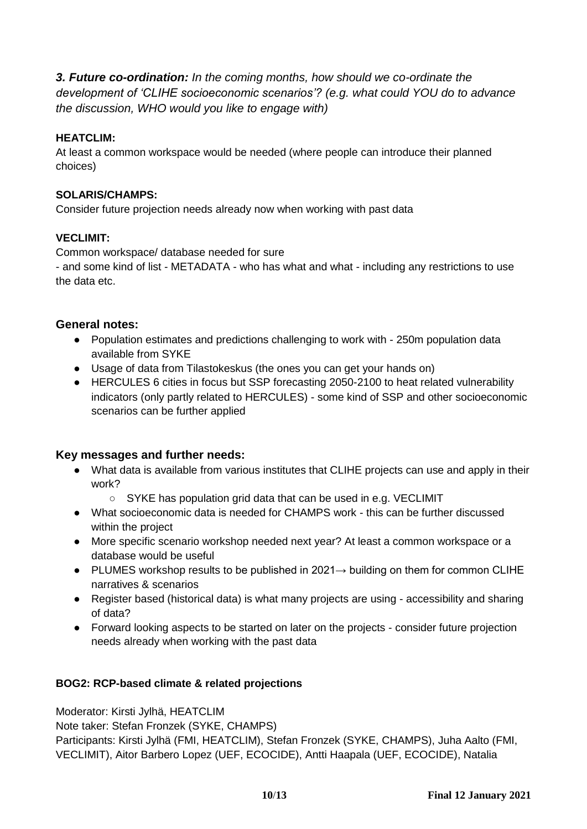*3. Future co-ordination: In the coming months, how should we co-ordinate the development of 'CLIHE socioeconomic scenarios'? (e.g. what could YOU do to advance the discussion, WHO would you like to engage with)* 

## **HEATCLIM:**

At least a common workspace would be needed (where people can introduce their planned choices)

## **SOLARIS/CHAMPS:**

Consider future projection needs already now when working with past data

#### **VECLIMIT:**

Common workspace/ database needed for sure

- and some kind of list - METADATA - who has what and what - including any restrictions to use the data etc.

#### **General notes:**

- Population estimates and predictions challenging to work with 250m population data available from SYKE
- Usage of data from Tilastokeskus (the ones you can get your hands on)
- HERCULES 6 cities in focus but SSP forecasting 2050-2100 to heat related vulnerability indicators (only partly related to HERCULES) - some kind of SSP and other socioeconomic scenarios can be further applied

## **Key messages and further needs:**

- What data is available from various institutes that CLIHE projects can use and apply in their work?
	- SYKE has population grid data that can be used in e.g. VECLIMIT
- What socioeconomic data is needed for CHAMPS work this can be further discussed within the project
- More specific scenario workshop needed next year? At least a common workspace or a database would be useful
- PLUMES workshop results to be published in 2021→ building on them for common CLIHE narratives & scenarios
- Register based (historical data) is what many projects are using accessibility and sharing of data?
- Forward looking aspects to be started on later on the projects consider future projection needs already when working with the past data

## **BOG2: RCP-based climate & related projections**

Moderator: Kirsti Jylhä, HEATCLIM

Note taker: Stefan Fronzek (SYKE, CHAMPS)

Participants: Kirsti Jylhä (FMI, HEATCLIM), Stefan Fronzek (SYKE, CHAMPS), Juha Aalto (FMI, VECLIMIT), Aitor Barbero Lopez (UEF, ECOCIDE), Antti Haapala (UEF, ECOCIDE), Natalia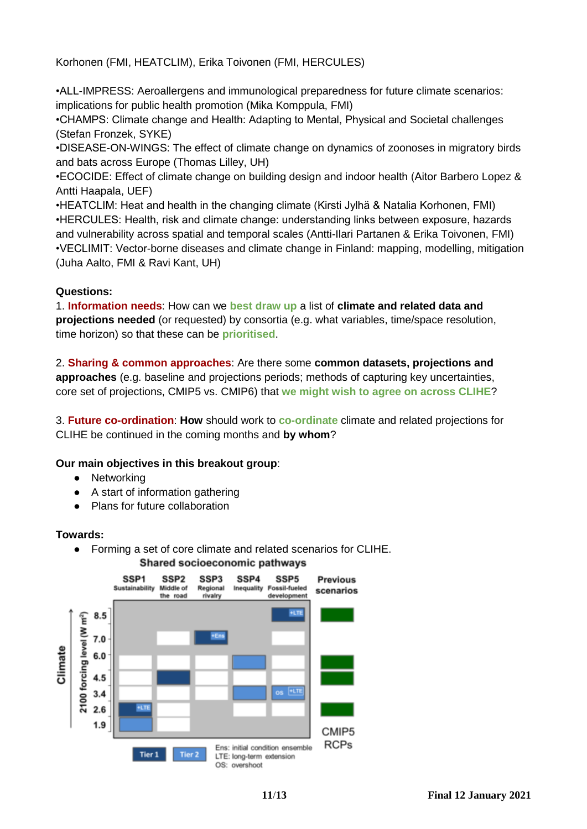Korhonen (FMI, HEATCLIM), Erika Toivonen (FMI, HERCULES)

•ALL-IMPRESS: Aeroallergens and immunological preparedness for future climate scenarios: implications for public health promotion (Mika Komppula, FMI)

•CHAMPS: Climate change and Health: Adapting to Mental, Physical and Societal challenges (Stefan Fronzek, SYKE)

•DISEASE-ON-WINGS: The effect of climate change on dynamics of zoonoses in migratory birds and bats across Europe (Thomas Lilley, UH)

•ECOCIDE: Effect of climate change on building design and indoor health (Aitor Barbero Lopez & Antti Haapala, UEF)

•HEATCLIM: Heat and health in the changing climate (Kirsti Jylhä & Natalia Korhonen, FMI) •HERCULES: Health, risk and climate change: understanding links between exposure, hazards and vulnerability across spatial and temporal scales (Antti-Ilari Partanen & Erika Toivonen, FMI) •VECLIMIT: Vector-borne diseases and climate change in Finland: mapping, modelling, mitigation (Juha Aalto, FMI & Ravi Kant, UH)

## **Questions:**

1. **Information needs**: How can we **best draw up** a list of **climate and related data and projections needed** (or requested) by consortia (e.g. what variables, time/space resolution, time horizon) so that these can be **prioritised**.

2. **Sharing & common approaches**: Are there some **common datasets, projections and approaches** (e.g. baseline and projections periods; methods of capturing key uncertainties, core set of projections, CMIP5 vs. CMIP6) that **we might wish to agree on across CLIHE**?

3. **Future co-ordination**: **How** should work to **co-ordinate** climate and related projections for CLIHE be continued in the coming months and **by whom**?

#### **Our main objectives in this breakout group**:

- Networking
- A start of information gathering
- Plans for future collaboration

#### **Towards:**

● Forming a set of core climate and related scenarios for CLIHE.



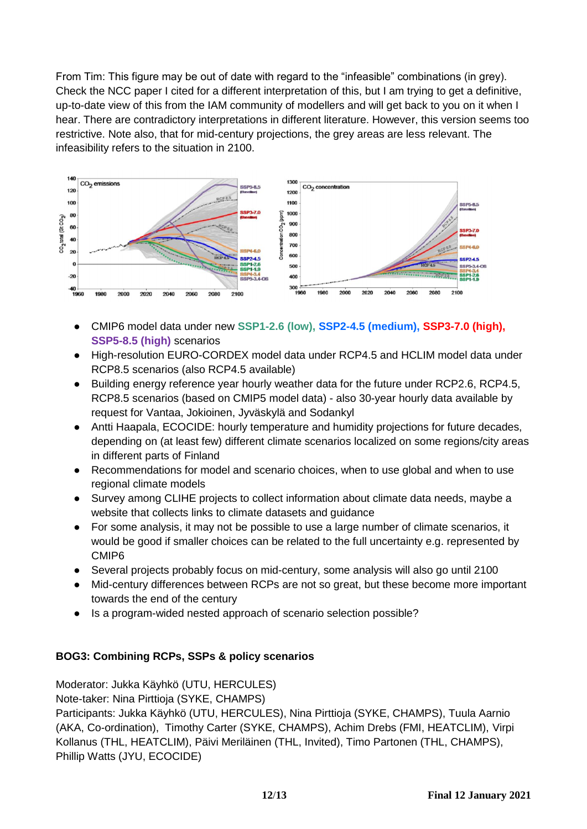From Tim: This figure may be out of date with regard to the "infeasible" combinations (in grey). Check the NCC paper I cited for a different interpretation of this, but I am trying to get a definitive, up-to-date view of this from the IAM community of modellers and will get back to you on it when I hear. There are contradictory interpretations in different literature. However, this version seems too restrictive. Note also, that for mid-century projections, the grey areas are less relevant. The infeasibility refers to the situation in 2100.



- CMIP6 model data under new **SSP1-2.6 (low), SSP2-4.5 (medium), SSP3-7.0 (high), SSP5-8.5 (high)** scenarios
- High-resolution EURO-CORDEX model data under RCP4.5 and HCLIM model data under RCP8.5 scenarios (also RCP4.5 available)
- Building energy reference year hourly weather data for the future under RCP2.6, RCP4.5, RCP8.5 scenarios (based on CMIP5 model data) - also 30-year hourly data available by request for Vantaa, Jokioinen, Jyväskylä and Sodankyl
- Antti Haapala, ECOCIDE: hourly temperature and humidity projections for future decades, depending on (at least few) different climate scenarios localized on some regions/city areas in different parts of Finland
- Recommendations for model and scenario choices, when to use global and when to use regional climate models
- Survey among CLIHE projects to collect information about climate data needs, maybe a website that collects links to climate datasets and guidance
- For some analysis, it may not be possible to use a large number of climate scenarios, it would be good if smaller choices can be related to the full uncertainty e.g. represented by CMIP6
- Several projects probably focus on mid-century, some analysis will also go until 2100
- Mid-century differences between RCPs are not so great, but these become more important towards the end of the century
- Is a program-wided nested approach of scenario selection possible?

#### **BOG3: Combining RCPs, SSPs & policy scenarios**

Moderator: Jukka Käyhkö (UTU, HERCULES)

Note-taker: Nina Pirttioja (SYKE, CHAMPS)

Participants: Jukka Käyhkö (UTU, HERCULES), Nina Pirttioja (SYKE, CHAMPS), Tuula Aarnio (AKA, Co-ordination), Timothy Carter (SYKE, CHAMPS), Achim Drebs (FMI, HEATCLIM), Virpi Kollanus (THL, HEATCLIM), Päivi Meriläinen (THL, Invited), Timo Partonen (THL, CHAMPS), Phillip Watts (JYU, ECOCIDE)